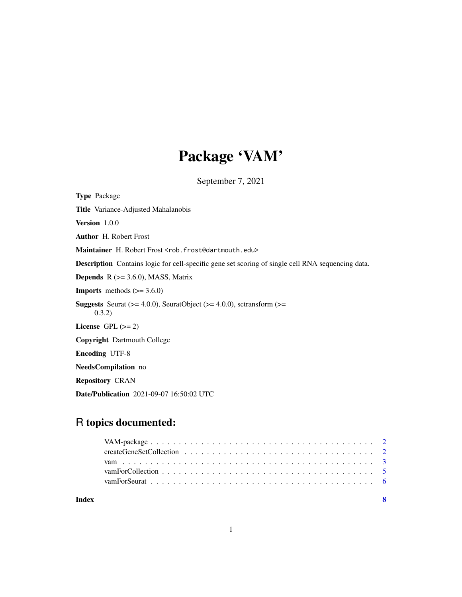## Package 'VAM'

September 7, 2021

Type Package Title Variance-Adjusted Mahalanobis Version 1.0.0 Author H. Robert Frost Maintainer H. Robert Frost <rob.frost@dartmouth.edu> Description Contains logic for cell-specific gene set scoring of single cell RNA sequencing data. **Depends** R  $(>= 3.6.0)$ , MASS, Matrix **Imports** methods  $(>= 3.6.0)$ **Suggests** Seurat ( $>= 4.0.0$ ), SeuratObject ( $>= 4.0.0$ ), sctransform ( $>=$ 0.3.2) License GPL  $(>= 2)$ Copyright Dartmouth College Encoding UTF-8 NeedsCompilation no Repository CRAN Date/Publication 2021-09-07 16:50:02 UTC

### R topics documented:

| Index |  |
|-------|--|
|       |  |
|       |  |
|       |  |
|       |  |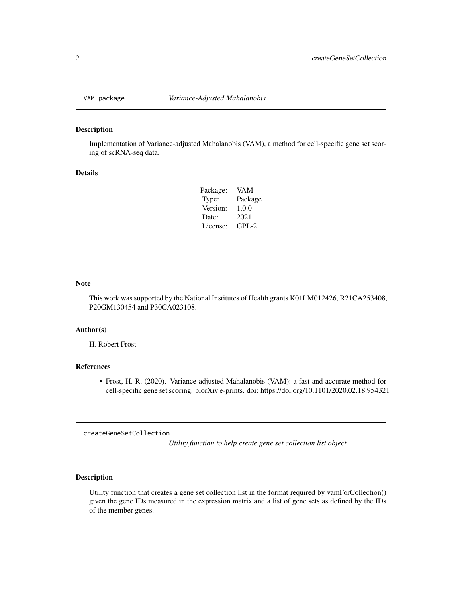<span id="page-1-0"></span>

#### Description

Implementation of Variance-adjusted Mahalanobis (VAM), a method for cell-specific gene set scoring of scRNA-seq data.

#### Details

| Package: | VAM       |
|----------|-----------|
| Type:    | Package   |
| Version: | 1.0.0     |
| Date:    | 2021      |
| License: | $GPI - 2$ |

#### Note

This work was supported by the National Institutes of Health grants K01LM012426, R21CA253408, P20GM130454 and P30CA023108.

#### Author(s)

H. Robert Frost

#### References

• Frost, H. R. (2020). Variance-adjusted Mahalanobis (VAM): a fast and accurate method for cell-specific gene set scoring. biorXiv e-prints. doi: https://doi.org/10.1101/2020.02.18.954321

createGeneSetCollection

*Utility function to help create gene set collection list object*

#### Description

Utility function that creates a gene set collection list in the format required by vamForCollection() given the gene IDs measured in the expression matrix and a list of gene sets as defined by the IDs of the member genes.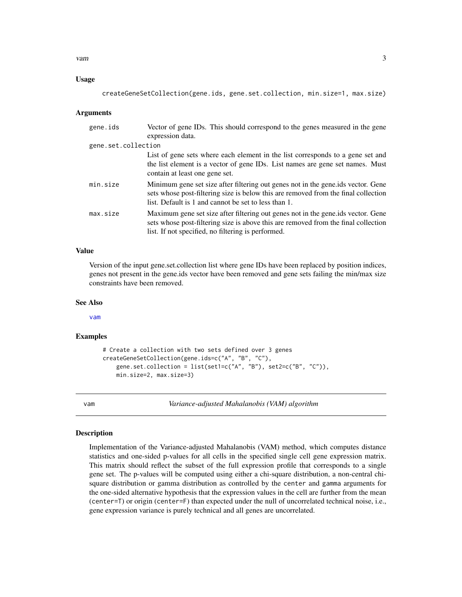<span id="page-2-0"></span>vam 3

#### Usage

createGeneSetCollection(gene.ids, gene.set.collection, min.size=1, max.size)

#### Arguments

| gene.ids            | Vector of gene IDs. This should correspond to the genes measured in the gene<br>expression data.                                                                                                                                |
|---------------------|---------------------------------------------------------------------------------------------------------------------------------------------------------------------------------------------------------------------------------|
| gene.set.collection |                                                                                                                                                                                                                                 |
|                     | List of gene sets where each element in the list corresponds to a gene set and<br>the list element is a vector of gene IDs. List names are gene set names. Must<br>contain at least one gene set.                               |
| min.size            | Minimum gene set size after filtering out genes not in the generials vector. Gene<br>sets whose post-filtering size is below this are removed from the final collection<br>list. Default is 1 and cannot be set to less than 1. |
| max.size            | Maximum gene set size after filtering out genes not in the generids vector. Gene<br>sets whose post-filtering size is above this are removed from the final collection<br>list. If not specified, no filtering is performed.    |

#### Value

Version of the input gene.set.collection list where gene IDs have been replaced by position indices, genes not present in the gene.ids vector have been removed and gene sets failing the min/max size constraints have been removed.

#### See Also

[vam](#page-2-1)

#### Examples

```
# Create a collection with two sets defined over 3 genes
createGeneSetCollection(gene.ids=c("A", "B", "C"),
   gene.set.collection = list(set1=c("A", "B"), set2=c("B", "C")),
   min.size=2, max.size=3)
```
<span id="page-2-1"></span>vam *Variance-adjusted Mahalanobis (VAM) algorithm*

#### Description

Implementation of the Variance-adjusted Mahalanobis (VAM) method, which computes distance statistics and one-sided p-values for all cells in the specified single cell gene expression matrix. This matrix should reflect the subset of the full expression profile that corresponds to a single gene set. The p-values will be computed using either a chi-square distribution, a non-central chisquare distribution or gamma distribution as controlled by the center and gamma arguments for the one-sided alternative hypothesis that the expression values in the cell are further from the mean (center=T) or origin (center=F) than expected under the null of uncorrelated technical noise, i.e., gene expression variance is purely technical and all genes are uncorrelated.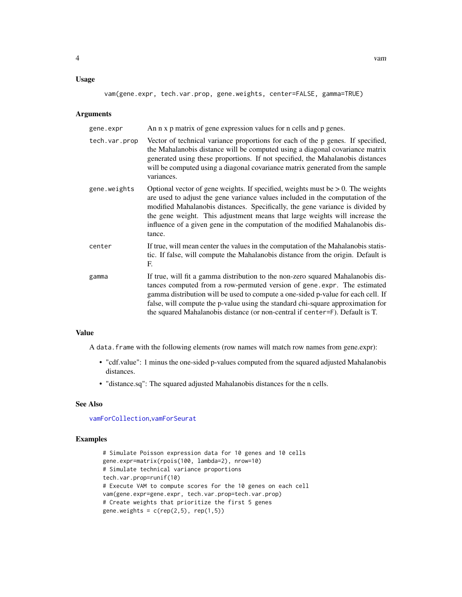#### <span id="page-3-0"></span>Usage

vam(gene.expr, tech.var.prop, gene.weights, center=FALSE, gamma=TRUE)

#### Arguments

| gene.expr     | An n x p matrix of gene expression values for n cells and p genes.                                                                                                                                                                                                                                                                                                                                                              |
|---------------|---------------------------------------------------------------------------------------------------------------------------------------------------------------------------------------------------------------------------------------------------------------------------------------------------------------------------------------------------------------------------------------------------------------------------------|
| tech.var.prop | Vector of technical variance proportions for each of the p genes. If specified,<br>the Mahalanobis distance will be computed using a diagonal covariance matrix<br>generated using these proportions. If not specified, the Mahalanobis distances<br>will be computed using a diagonal covariance matrix generated from the sample<br>variances.                                                                                |
| gene.weights  | Optional vector of gene weights. If specified, weights must be $> 0$ . The weights<br>are used to adjust the gene variance values included in the computation of the<br>modified Mahalanobis distances. Specifically, the gene variance is divided by<br>the gene weight. This adjustment means that large weights will increase the<br>influence of a given gene in the computation of the modified Mahalanobis dis-<br>tance. |
| center        | If true, will mean center the values in the computation of the Mahalanobis statis-<br>tic. If false, will compute the Mahalanobis distance from the origin. Default is<br>F.                                                                                                                                                                                                                                                    |
| gamma         | If true, will fit a gamma distribution to the non-zero squared Mahalanobis dis-<br>tances computed from a row-permuted version of gene.expr. The estimated<br>gamma distribution will be used to compute a one-sided p-value for each cell. If<br>false, will compute the p-value using the standard chi-square approximation for<br>the squared Mahalanobis distance (or non-central if center=F). Default is T.               |

#### Value

A data.frame with the following elements (row names will match row names from gene.expr):

- "cdf.value": 1 minus the one-sided p-values computed from the squared adjusted Mahalanobis distances.
- "distance.sq": The squared adjusted Mahalanobis distances for the n cells.

#### See Also

[vamForCollection](#page-4-1),[vamForSeurat](#page-5-1)

#### Examples

```
# Simulate Poisson expression data for 10 genes and 10 cells
gene.expr=matrix(rpois(100, lambda=2), nrow=10)
# Simulate technical variance proportions
tech.var.prop=runif(10)
# Execute VAM to compute scores for the 10 genes on each cell
vam(gene.expr=gene.expr, tech.var.prop=tech.var.prop)
# Create weights that prioritize the first 5 genes
gene.weights = c(rep(2,5), rep(1,5))
```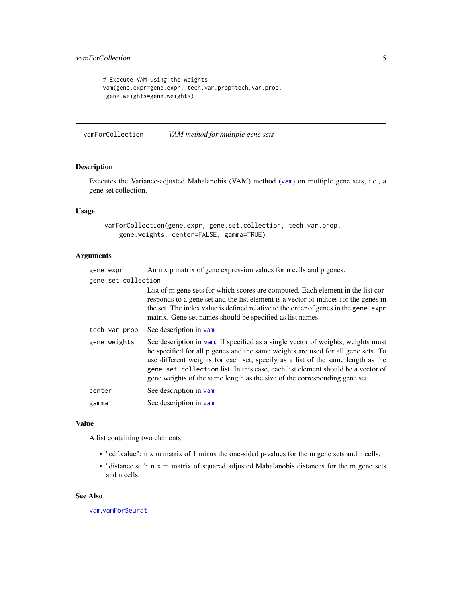```
# Execute VAM using the weights
vam(gene.expr=gene.expr, tech.var.prop=tech.var.prop,
gene.weights=gene.weights)
```
<span id="page-4-1"></span>vamForCollection *VAM method for multiple gene sets*

#### Description

Executes the Variance-adjusted Mahalanobis (VAM) method ([vam](#page-2-1)) on multiple gene sets, i.e., a gene set collection.

#### Usage

vamForCollection(gene.expr, gene.set.collection, tech.var.prop, gene.weights, center=FALSE, gamma=TRUE)

#### Arguments

| gene.expr           | An n x p matrix of gene expression values for n cells and p genes.                                                                                                                                                                                                                                                                                                                                                       |
|---------------------|--------------------------------------------------------------------------------------------------------------------------------------------------------------------------------------------------------------------------------------------------------------------------------------------------------------------------------------------------------------------------------------------------------------------------|
| gene.set.collection |                                                                                                                                                                                                                                                                                                                                                                                                                          |
|                     | List of m gene sets for which scores are computed. Each element in the list cor-<br>responds to a gene set and the list element is a vector of indices for the genes in<br>the set. The index value is defined relative to the order of genes in the gene. expr<br>matrix. Gene set names should be specified as list names.                                                                                             |
| tech.var.prop       | See description in vam                                                                                                                                                                                                                                                                                                                                                                                                   |
| gene.weights        | See description in vam. If specified as a single vector of weights, weights must<br>be specified for all p genes and the same weights are used for all gene sets. To<br>use different weights for each set, specify as a list of the same length as the<br>gene.set.collection list. In this case, each list element should be a vector of<br>gene weights of the same length as the size of the corresponding gene set. |
| center              | See description in vam                                                                                                                                                                                                                                                                                                                                                                                                   |
| gamma               | See description in vam                                                                                                                                                                                                                                                                                                                                                                                                   |
|                     |                                                                                                                                                                                                                                                                                                                                                                                                                          |

#### Value

A list containing two elements:

- "cdf.value": n x m matrix of 1 minus the one-sided p-values for the m gene sets and n cells.
- "distance.sq": n x m matrix of squared adjusted Mahalanobis distances for the m gene sets and n cells.

#### See Also

[vam](#page-2-1),[vamForSeurat](#page-5-1)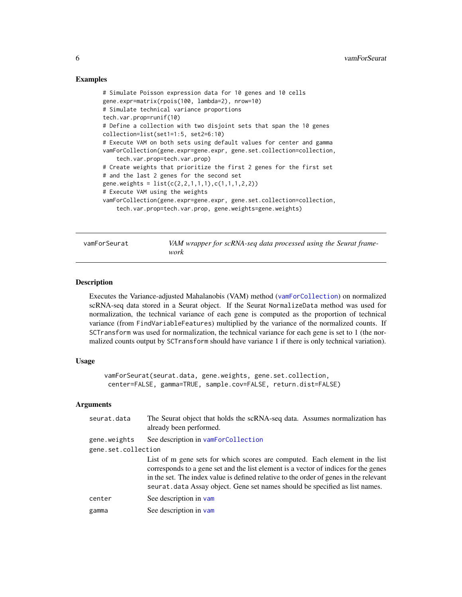#### Examples

```
# Simulate Poisson expression data for 10 genes and 10 cells
gene.expr=matrix(rpois(100, lambda=2), nrow=10)
# Simulate technical variance proportions
tech.var.prop=runif(10)
# Define a collection with two disjoint sets that span the 10 genes
collection=list(set1=1:5, set2=6:10)
# Execute VAM on both sets using default values for center and gamma
vamForCollection(gene.expr=gene.expr, gene.set.collection=collection,
    tech.var.prop=tech.var.prop)
# Create weights that prioritize the first 2 genes for the first set
# and the last 2 genes for the second set
gene.weights = list(c(2,2,1,1,1),c(1,1,1,2,2))
# Execute VAM using the weights
vamForCollection(gene.expr=gene.expr, gene.set.collection=collection,
    tech.var.prop=tech.var.prop, gene.weights=gene.weights)
```
<span id="page-5-1"></span>vamForSeurat *VAM wrapper for scRNA-seq data processed using the Seurat framework*

#### Description

Executes the Variance-adjusted Mahalanobis (VAM) method ([vamForCollection](#page-4-1)) on normalized scRNA-seq data stored in a Seurat object. If the Seurat NormalizeData method was used for normalization, the technical variance of each gene is computed as the proportion of technical variance (from FindVariableFeatures) multiplied by the variance of the normalized counts. If SCTransform was used for normalization, the technical variance for each gene is set to 1 (the normalized counts output by SCTransform should have variance 1 if there is only technical variation).

#### Usage

vamForSeurat(seurat.data, gene.weights, gene.set.collection, center=FALSE, gamma=TRUE, sample.cov=FALSE, return.dist=FALSE)

#### Arguments

| seurat.data         | The Seurat object that holds the scRNA-seq data. Assumes normalization has<br>already been performed.                                                                                                                                                                                                                                       |
|---------------------|---------------------------------------------------------------------------------------------------------------------------------------------------------------------------------------------------------------------------------------------------------------------------------------------------------------------------------------------|
| gene.weights        | See description in vamForCollection                                                                                                                                                                                                                                                                                                         |
| gene.set.collection |                                                                                                                                                                                                                                                                                                                                             |
|                     | List of m gene sets for which scores are computed. Each element in the list<br>corresponds to a gene set and the list element is a vector of indices for the genes<br>in the set. The index value is defined relative to the order of genes in the relevant<br>seurat. data Assay object. Gene set names should be specified as list names. |
| center              | See description in vam                                                                                                                                                                                                                                                                                                                      |
| gamma               | See description in vam                                                                                                                                                                                                                                                                                                                      |
|                     |                                                                                                                                                                                                                                                                                                                                             |

<span id="page-5-0"></span>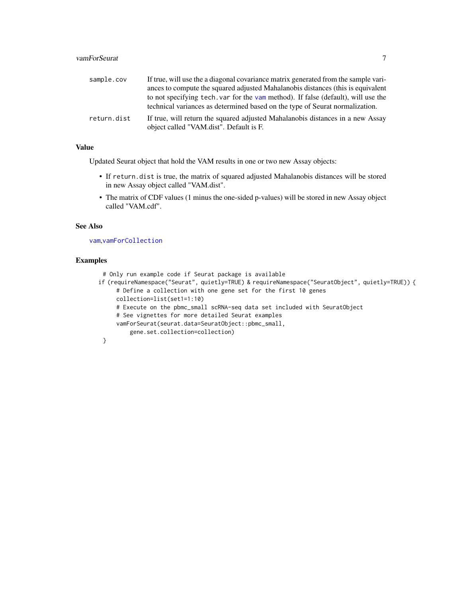<span id="page-6-0"></span>

| sample.cov  | If true, will use the a diagonal covariance matrix generated from the sample vari-                                                                                |
|-------------|-------------------------------------------------------------------------------------------------------------------------------------------------------------------|
|             | ances to compute the squared adjusted Mahalanobis distances (this is equivalent                                                                                   |
|             | to not specifying tech, var for the vam method). If false (default), will use the<br>technical variances as determined based on the type of Seurat normalization. |
| return.dist | If true, will return the squared adjusted Mahalanobis distances in a new Assay                                                                                    |
|             | object called "VAM.dist". Default is F.                                                                                                                           |

#### Value

Updated Seurat object that hold the VAM results in one or two new Assay objects:

- If return.dist is true, the matrix of squared adjusted Mahalanobis distances will be stored in new Assay object called "VAM.dist".
- The matrix of CDF values (1 minus the one-sided p-values) will be stored in new Assay object called "VAM.cdf".

#### See Also

[vam](#page-2-1),[vamForCollection](#page-4-1)

#### Examples

```
# Only run example code if Seurat package is available
if (requireNamespace("Seurat", quietly=TRUE) & requireNamespace("SeuratObject", quietly=TRUE)) {
     # Define a collection with one gene set for the first 10 genes
     collection=list(set1=1:10)
     # Execute on the pbmc_small scRNA-seq data set included with SeuratObject
     # See vignettes for more detailed Seurat examples
     vamForSeurat(seurat.data=SeuratObject::pbmc_small,
         gene.set.collection=collection)
 }
```